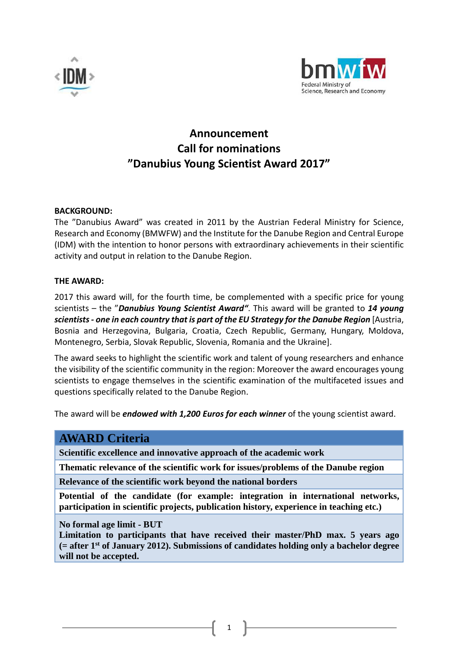



# **Announcement Call for nominations "Danubius Young Scientist Award 2017"**

#### **BACKGROUND:**

The "Danubius Award" was created in 2011 by the Austrian Federal Ministry for Science, Research and Economy (BMWFW) and the Institute for the Danube Region and Central Europe (IDM) with the intention to honor persons with extraordinary achievements in their scientific activity and output in relation to the Danube Region.

#### **THE AWARD:**

2017 this award will, for the fourth time, be complemented with a specific price for young scientists – the "*Danubius Young Scientist Award"*. This award will be granted to *14 young scientists - one in each country that is part of the EU Strategy for the Danube Region* [Austria, Bosnia and Herzegovina, Bulgaria, Croatia, Czech Republic, Germany, Hungary, Moldova, Montenegro, Serbia, Slovak Republic, Slovenia, Romania and the Ukraine].

The award seeks to highlight the scientific work and talent of young researchers and enhance the visibility of the scientific community in the region: Moreover the award encourages young scientists to engage themselves in the scientific examination of the multifaceted issues and questions specifically related to the Danube Region.

The award will be *endowed with 1,200 Euros for each winner* of the young scientist award.

# **AWARD Criteria**

**Scientific excellence and innovative approach of the academic work** 

**Thematic relevance of the scientific work for issues/problems of the Danube region** 

**Relevance of the scientific work beyond the national borders** 

**Potential of the candidate (for example: integration in international networks, participation in scientific projects, publication history, experience in teaching etc.)** 

**No formal age limit - BUT** 

**Limitation to participants that have received their master/PhD max. 5 years ago (= after 1st of January 2012). Submissions of candidates holding only a bachelor degree will not be accepted.** 

1